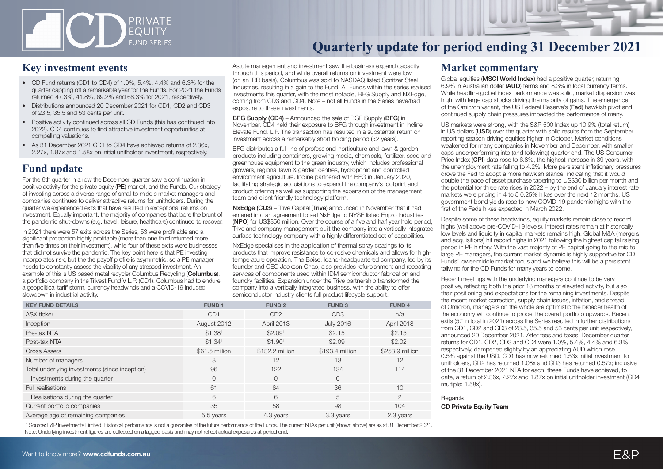

### **Key investment events**

- CD Fund returns (CD1 to CD4) of 1.0%, 5.4%, 4.4% and 6.3% for the quarter capping off a remarkable year for the Funds. For 2021 the Funds returned 47.3%, 41.8%, 69.2% and 68.3% for 2021, respectively.
- Distributions announced 20 December 2021 for CD1, CD2 and CD3 of 23.5, 35.5 and 53 cents per unit.
- Positive activity continued across all CD Funds (this has continued into 2022). CD4 continues to find attractive investment opportunities at compelling valuations.
- As 31 December 2021 CD1 to CD4 have achieved returns of 2.36x, 2.27x, 1.87x and 1.58x on initial unitholder investment, respectively.

### **Fund update**

For the 6th quarter in a row the December quarter saw a continuation in positive activity for the private equity (PE) market, and the Funds. Our strategy of investing across a diverse range of small to middle market managers and companies continues to deliver attractive returns for unitholders. During the quarter we experienced exits that have resulted in exceptional returns on investment. Equally important, the majority of companies that bore the brunt of the pandemic shut-downs (e.g. travel, leisure, healthcare) continued to recover.

In 2021 there were 57 exits across the Series, 53 were profitiable and a significant proportion highly profitable (more than one third returned more than five times on their investment), while four of these exits were businesses that did not survive the pandemic. The key point here is that PE investing incorporates risk, but the the payoff profile is asymmetric, so a PE manager needs to constantly assess the viability of any stressed investment. An example of this is US based metal recycler Columbus Recycling (**Columbus**), a portfolio company in the Trivest Fund V L.P. (CD1). Columbus had to endure a geopolitical tariff storm, currency headwinds and a COVID-19 induced slowdown in industrial activity.

Astute management and investment saw the business expand capacity through this period, and while overall returns on investment were low (on an IRR basis), Columbus was sold to NASDAQ listed Scnitzer Steel Industries, resulting in a gain to the Fund. All Funds within the series realised investments this quarter, with the most notable, BFG Supply and NXEdge, coming from CD3 and CD4. Note – not all Funds in the Series have/had exposure to these investments.

BFG Supply (CD4) – Announced the sale of BGF Supply (BFG) in November. CD4 held their exposure to BFG through investment in Incline Elevate Fund, L.P. The transaction has resulted in a substantial return on investment across a remarkably short holding period (<2 years).

BFG distributes a full line of professional horticulture and lawn & garden products including containers, growing media, chemicals, fertilizer, seed and greenhouse equipment to the green industry, which includes professional growers, regional lawn & garden centres, hydroponic and controlled environment agriculture. Incline partnered with BFG in January 2020, facilitating strategic acquisitions to expand the company's footprint and product offering as well as supporting the expansion of the management team and client friendly technology platform.

NxEdge (CD3) – Trive Capital (Trive) announced in November that it had entered into an agreement to sell NxEdge to NYSE listed Enpro Industries (NPO) for US\$850 million. Over the course of a five and half year hold period, Trive and company management built the company into a vertically integrated surface technology company with a highly differentiated set of capabilities.

NxEdge specialises in the application of thermal spray coatings to its products that improve resistance to corrosive chemicals and allows for hightemperature operation. The Boise, Idaho-headquartered company, led by its founder and CEO Jackson Chao, also provides refurbishment and recoating services of components used within IDM semiconductor fabrication and foundry facilities. Expansion under the Trive partnership transformed the company into a vertically integrated business, with the ability to offer semiconductor industry clients full product lifecycle support.

| <b>KEY FUND DETAILS</b>                        | <b>FUND1</b>        | <b>FUND 2</b>       | <b>FUND3</b>        | <b>FUND4</b>        |
|------------------------------------------------|---------------------|---------------------|---------------------|---------------------|
| <b>ASX</b> ticker                              | CD <sub>1</sub>     | CD <sub>2</sub>     | CD <sub>3</sub>     | n/a                 |
| Inception                                      | August 2012         | April 2013          | <b>July 2016</b>    | April 2018          |
| Pre-tax NTA                                    | \$1.38 <sup>1</sup> | \$2.09 <sup>1</sup> | \$2.15 <sup>1</sup> | \$2.15 <sup>1</sup> |
| Post-tax NTA                                   | \$1.34 <sup>1</sup> | \$1.90 <sup>1</sup> | \$2.09 <sup>1</sup> | \$2.02 <sup>1</sup> |
| <b>Gross Assets</b>                            | \$61.5 million      | \$132.2 million     | \$193.4 million     | \$253.9 million     |
| Number of managers                             | 8                   | 12                  | 13                  | 12                  |
| Total underlying investments (since inception) | 96                  | 122                 | 134                 | 114                 |
| Investments during the quarter                 | $\Omega$            | $\Omega$            | $\Omega$            |                     |
| Full realisations                              | 61                  | 64                  | 36                  | 10                  |
| Realisations during the quarter                | 6                   | 6                   | 5                   | $\overline{2}$      |
| Current portfolio companies                    | 35                  | 58                  | 98                  | 104                 |
| Average age of remaining companies             | 5.5 years           | 4.3 years           | 3.3 years           | 2.3 years           |

 1 Source: E&P Investments Limited. Historical performance is not a guarantee of the future performance of the Funds. The current NTAs per unit (shown above) are as at 31 December 2021. Note: Underlying investment figures are collected on a lagged basis and may not reflect actual exposures at period end.

#### **Market commentary**

Global equities (**MSCI World Index**) had a positive quarter, returning 6.9% in Australian dollar (AUD) terms and 8.3% in local currency terms. While headline global index performance was solid, market dispersion was high, with large cap stocks driving the majority of gains. The emergence of the Omicron variant, the US Federal Reserve's (Fed) hawkish pivot and continued supply chain pressures impacted the performance of many.

US markets were strong, with the S&P 500 Index up 10.9% (total return) in US dollars (USD) over the quarter with solid results from the September reporting season driving equities higher in October. Market conditions weakened for many companies in November and December, with smaller caps underperforming into (and following) quarter end. The US Consumer Price Index (CPI) data rose to 6.8%, the highest increase in 39 years, with the unemployment rate falling to 4.2%. More persistent inflationary pressures drove the Fed to adopt a more hawkish stance, indicating that it would double the pace of asset purchase tapering to US\$30 billion per month and the potential for three rate rises in 2022 – by the end of January interest rate markets were pricing in 4 to 5 0.25% hikes over the next 12 months. US government bond yields rose to new COVID-19 pandemic highs with the first of the Feds hikes expected in March 2022.

Despite some of these headwinds, equity markets remain close to record highs (well above pre-COVID-19 levels), interest rates remain at historically low levels and liquidity in capital markets remains high. Global M&A (mergers and acquisitions) hit record highs in 2021 following the highest capital raising period in PE history. With the vast majority of PE capital going to the mid to large PE managers, the current market dynamic is highly supportive for CD Funds' lower-middle market focus and we believe this will be a persistent tailwind for the CD Funds for many years to come.

Recent meetings with the underlying managers continue to be very positive, reflecting both the prior 18 months of elevated activity, but also their positioning and expectations for the remaining investments. Despite the recent market correction, supply chain issues, inflation, and spread of Omicron, managers on the whole are optimistic the broader health of the economy will continue to propel the overall portfolio upwards. Recent exits (57 in total in 2021) across the Series resulted in further distributions from CD1, CD2 and CD3 of 23.5, 35.5 and 53 cents per unit respectively, announced 20 December 2021. After fees and taxes, December quarter returns for CD1, CD2, CD3 and CD4 were 1.0%, 5.4%, 4.4% and 6.3% respectively, dampened slightly by an appreciating AUD which rose 0.5% against the USD. CD1 has now returned 1.53x initial investment to unitholders, CD2 has returned 1.08x and CD3 has returned 0.57x; inclusive of the 31 December 2021 NTA for each, these Funds have achieved, to date, a return of 2.36x, 2.27x and 1.87x on initial unitholder investment (CD4 multiple: 1.58x).

**Regards** CD Private Equity Team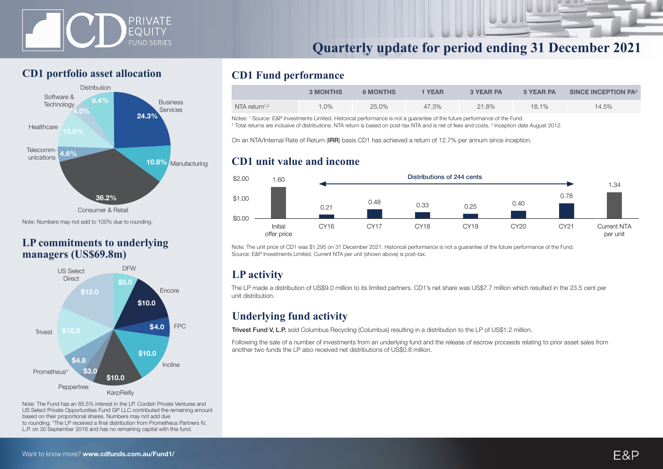



### **CD1 portfolio asset allocation**



Note: Numbers may not add to 100% due to rounding.

### **LP commitments to underlying managers (US\$69.8m)**



Note: The Fund has an 85.5% interest in the LP. Cordish Private Ventures and US Select Private Opportunities Fund GP LLC contributed the remaining amount based on their proportional shares. Numbers may not add due to rounding. \*The LP received a final distribution from Prometheus Partners IV, L.P. on 30 September 2016 and has no remaining capital with this fund.

### **CD1 Fund performance**

|                           | <b>3 MONTHS</b> | <b>6 MONTHS</b> | <b>YEAR</b> | <b>3 YEAR PA</b> | 5 YEAR PA | <b>SINCE INCEPTION PA3</b> |
|---------------------------|-----------------|-----------------|-------------|------------------|-----------|----------------------------|
| NTA return <sup>1,2</sup> | $.0\%$          | 25.0%           | 47.3%       | $21.8\%$         | $18.1\%$  | 14.5%                      |

Notes: <sup>1</sup> Source: E&P Investments Limited. Historical performance is not a quarantee of the future performance of the Fund.

Notes: ' Source: E&P Investments Limited. Historical performance is not a guarantee of the future performance of the Fund.<br><sup>2</sup> Total returns are inclusive of distributions. NTA return is based on post-tax NTA and is net of

On an NTA/Internal Rate of Return (IRR) basis CD1 has achieved a return of 12.7% per annum since inception.

### **CD1 unit value and income**



Note: The unit price of CD1 was \$1.295 on 31 December 2021. Historical performance is not a guarantee of the future performance of the Fund. Source: E&P Investments Limited. Current NTA per unit (shown above) is post-tax.

# **LP activity**

The LP made a distribution of US\$9.0 million to its limited partners. CD1's net share was US\$7.7 million which resulted in the 23.5 cent per unit distribution.

### **Underlying fund activity**

Trivest Fund V, L.P. sold Columbus Recycling (Columbus) resulting in a distribution to the LP of US\$1.2 million.

Following the sale of a number of investments from an underlying fund and the release of escrow proceeds relating to prior asset sales from another two funds the LP also received net distributions of US\$0.8 million.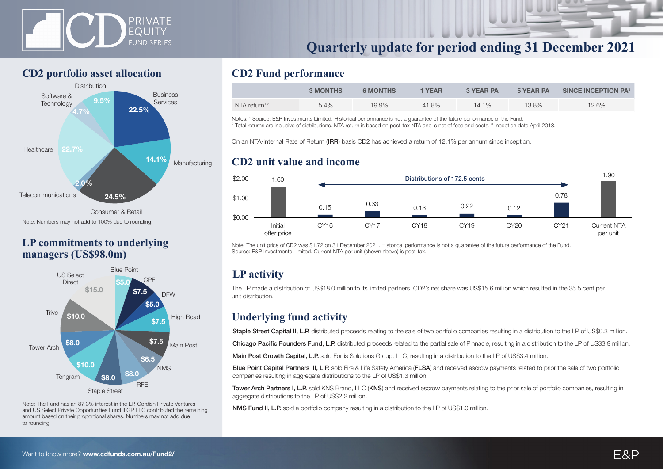



### **CD2 portfolio asset allocation**



Consumer & Retail Note: Numbers may not add to 100% due to rounding.

### **LP commitments to underlying managers (US\$98.0m)**



Note: The Fund has an 87.3% interest in the LP. Cordish Private Ventures and US Select Private Opportunities Fund II GP LLC contributed the remaining amount based on their proportional shares. Numbers may not add due to rounding.

### **CD2 Fund performance**

|                           | <b>3 MONTHS</b> | <b>6 MONTHS</b> | <b>YEAR</b> | <b>3 YEAR PA</b> | 5 YEAR PA | <b>SINCE INCEPTION PA3</b> |
|---------------------------|-----------------|-----------------|-------------|------------------|-----------|----------------------------|
| NTA return <sup>1,2</sup> | 5.4%            | 19.9%           | 41.8%       | 14.1%            | 13.8%     | 12.6%                      |

Notes: <sup>1</sup> Source: E&P Investments Limited. Historical performance is not a guarantee of the future performance of the Fund. Notes: 1 Source: E&P Investments Limited. Historical performance is not a guarantee of the future performance of the Fund.<br><sup>2</sup> Total returns are inclusive of distributions. NTA return is based on post-tax NTA and is net of

On an NTA/Internal Rate of Return (IRR) basis CD2 has achieved a return of 12.1% per annum since inception.

### **CD2 unit value and income**



Note: The unit price of CD2 was \$1.72 on 31 December 2021. Historical performance is not a guarantee of the future performance of the Fund. Source: E&P Investments Limited. Current NTA per unit (shown above) is post-tax.

# **LP activity**

The LP made a distribution of US\$18.0 million to its limited partners. CD2's net share was US\$15.6 million which resulted in the 35.5 cent per unit distribution.

### **Underlying fund activity**

Staple Street Capital II, L.P. distributed proceeds relating to the sale of two portfolio companies resulting in a distribution to the LP of US\$0.3 million.

Chicago Pacific Founders Fund, L.P. distributed proceeds related to the partial sale of Pinnacle, resulting in a distribution to the LP of US\$3.9 million.

Main Post Growth Capital, L.P. sold Fortis Solutions Group, LLC, resulting in a distribution to the LP of US\$3.4 million.

Blue Point Capital Partners III, L.P. sold Fire & Life Safety America (FLSA) and received escrow payments related to prior the sale of two portfolio companies resulting in aggregate distributions to the LP of US\$1.3 million.

Tower Arch Partners I, L.P. sold KNS Brand, LLC (KNS) and received escrow payments relating to the prior sale of portfolio companies, resulting in aggregate distributions to the LP of US\$2.2 million.

NMS Fund II, L.P. sold a portfolio company resulting in a distribution to the LP of US\$1.0 million.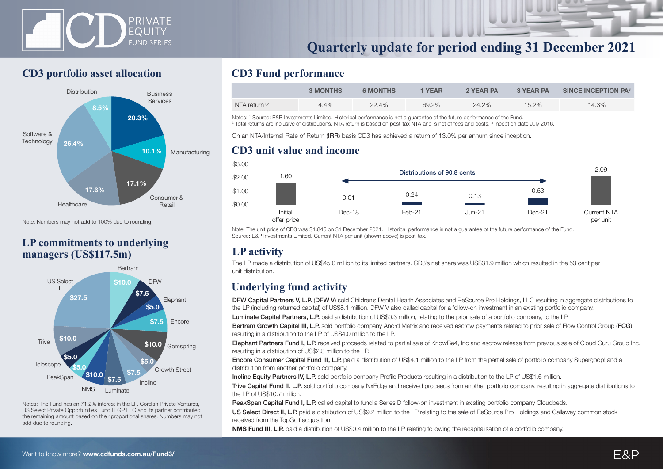



### **CD3 portfolio asset allocation**



Note: Numbers may not add to 100% due to rounding.

### **LP commitments to underlying managers (US\$117.5m)**



Notes: The Fund has an 71.2% interest in the LP. Cordish Private Ventures, US Select Private Opportunities Fund III GP LLC and its partner contributed the remaining amount based on their proportional shares. Numbers may not add due to rounding.

### **CD3 Fund performance**

|                           | <b>3 MONTHS</b> | <b>6 MONTHS</b> | 1 YEAR | 2 YEAR PA | 3 YEAR PA | SINCE INCEPTION PA <sup>3</sup> |
|---------------------------|-----------------|-----------------|--------|-----------|-----------|---------------------------------|
| NTA return <sup>1,2</sup> | $4.4\%$         | 22.4%           | 69.2%  | 24.2%     | $15.2\%$  | 14.3%                           |

Notes: <sup>1</sup> Source: E&P Investments Limited. Historical performance is not a guarantee of the future performance of the Fund.<br><sup>2</sup> Total returns are inclusive of distributions. NTA return is based on post-tax NTA and is net

Total returns are inclusive of distributions. NTA return is based on post-tax NTA and is net of fees and costs. <sup>3</sup> Inception date July 2016.

On an NTA/Internal Rate of Return (IRR) basis CD3 has achieved a return of 13.0% per annum since inception.

#### **CD3 unit value and income**



Note: The unit price of CD3 was \$1.845 on 31 December 2021. Historical performance is not a guarantee of the future performance of the Fund. Source: E&P Investments Limited. Current NTA per unit (shown above) is post-tax.

### **LP activity**

The LP made a distribution of US\$45.0 million to its limited partners. CD3's net share was US\$31.9 million which resulted in the 53 cent per unit distribution.

# **Underlying fund activity**

DFW Capital Partners V, L.P. (DFW V) sold Children's Dental Health Associates and ReSource Pro Holdings, LLC resulting in aggregate distributions to the LP (including returned capital) of US\$8.1 million. DFW V also called capital for a follow-on investment in an existing portfolio company. Luminate Capital Partners, L.P. paid a distribution of US\$0.3 million, relating to the prior sale of a portfolio company, to the LP.

Bertram Growth Capital III, L.P. sold portfolio company Anord Matrix and received escrow payments related to prior sale of Flow Control Group (FCG),

resulting in a distribution to the LP of US\$4.0 million to the LP.

Elephant Partners Fund I, L.P. received proceeds related to partial sale of KnowBe4, Inc and escrow release from previous sale of Cloud Guru Group Inc. resulting in a distribution of US\$2.3 million to the LP.

Encore Consumer Capital Fund III, L.P. paid a distribution of US\$4.1 million to the LP from the partial sale of portfolio company Supergoop! and a distribution from another portfolio company.

Incline Equity Partners IV, L.P. sold portfolio company Profile Products resulting in a distribution to the LP of US\$1.6 million.

Trive Capital Fund II, L.P. sold portfolio company NxEdge and received proceeds from another portfolio company, resulting in aggregate distributions to the LP of US\$10.7 million.

PeakSpan Capital Fund I, L.P. called capital to fund a Series D follow-on investment in existing portfolio company Cloudbeds.

US Select Direct II, L.P. paid a distribution of US\$9.2 million to the LP relating to the sale of ReSource Pro Holdings and Callaway common stock received from the TopGolf acquisition.

NMS Fund III, L.P. paid a distribution of US\$0.4 million to the LP relating following the recapitalisation of a portfolio company.